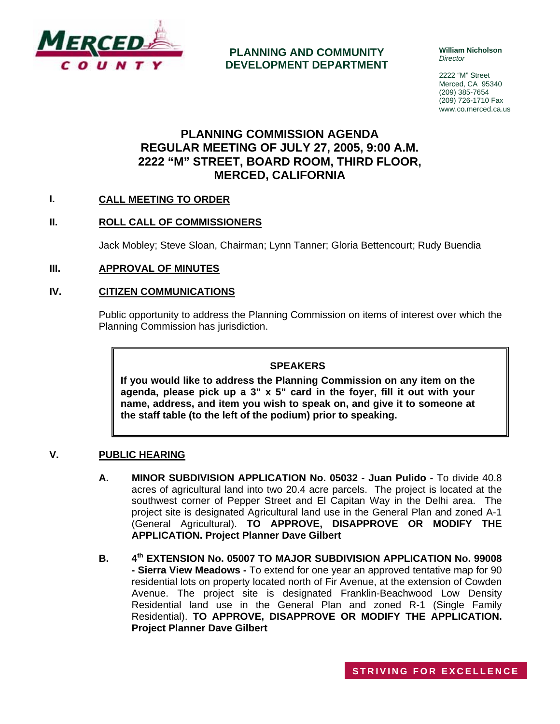

## **PLANNING AND COMMUNITY DEVELOPMENT DEPARTMENT**

**William Nicholson**  *Director* 

2222 "M" Street Merced, CA 95340 (209) 385-7654 (209) 726-1710 Fax www.co.merced.ca.us

# **PLANNING COMMISSION AGENDA REGULAR MEETING OF JULY 27, 2005, 9:00 A.M. 2222 "M" STREET, BOARD ROOM, THIRD FLOOR, MERCED, CALIFORNIA**

## **I. CALL MEETING TO ORDER**

## **II. ROLL CALL OF COMMISSIONERS**

Jack Mobley; Steve Sloan, Chairman; Lynn Tanner; Gloria Bettencourt; Rudy Buendia

**III. APPROVAL OF MINUTES**

## **IV. CITIZEN COMMUNICATIONS**

Public opportunity to address the Planning Commission on items of interest over which the Planning Commission has jurisdiction.

#### **SPEAKERS**

**If you would like to address the Planning Commission on any item on the agenda, please pick up a 3" x 5" card in the foyer, fill it out with your name, address, and item you wish to speak on, and give it to someone at the staff table (to the left of the podium) prior to speaking.**

#### **V. PUBLIC HEARING**

- **A. MINOR SUBDIVISION APPLICATION No. 05032 Juan Pulido** To divide 40.8 acres of agricultural land into two 20.4 acre parcels. The project is located at the southwest corner of Pepper Street and El Capitan Way in the Delhi area. The project site is designated Agricultural land use in the General Plan and zoned A-1 (General Agricultural). **TO APPROVE, DISAPPROVE OR MODIFY THE APPLICATION. Project Planner Dave Gilbert**
- **B. 4th EXTENSION No. 05007 TO MAJOR SUBDIVISION APPLICATION No. 99008 - Sierra View Meadows -** To extend for one year an approved tentative map for 90 residential lots on property located north of Fir Avenue, at the extension of Cowden Avenue. The project site is designated Franklin-Beachwood Low Density Residential land use in the General Plan and zoned R-1 (Single Family Residential). **TO APPROVE, DISAPPROVE OR MODIFY THE APPLICATION. Project Planner Dave Gilbert**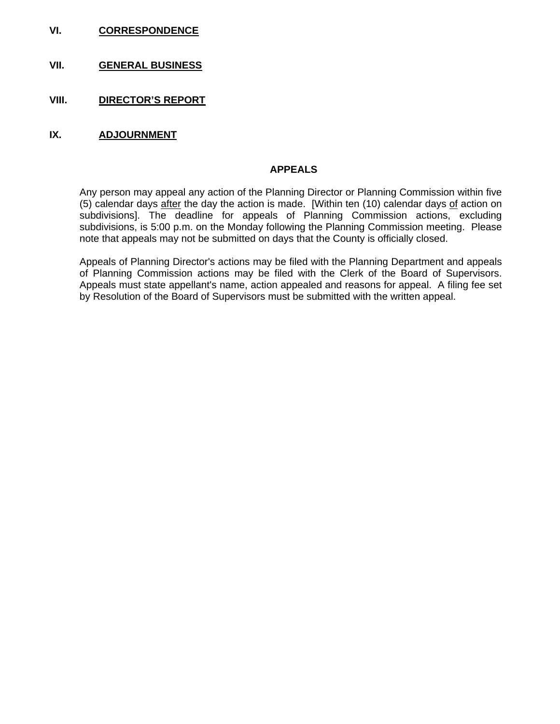- **VI. CORRESPONDENCE**
- **VII. GENERAL BUSINESS**
- **VIII. DIRECTOR'S REPORT**
- **IX. ADJOURNMENT**

#### **APPEALS**

Any person may appeal any action of the Planning Director or Planning Commission within five (5) calendar days after the day the action is made. [Within ten (10) calendar days of action on subdivisions]. The deadline for appeals of Planning Commission actions, excluding subdivisions, is 5:00 p.m. on the Monday following the Planning Commission meeting. Please note that appeals may not be submitted on days that the County is officially closed.

Appeals of Planning Director's actions may be filed with the Planning Department and appeals of Planning Commission actions may be filed with the Clerk of the Board of Supervisors. Appeals must state appellant's name, action appealed and reasons for appeal. A filing fee set by Resolution of the Board of Supervisors must be submitted with the written appeal.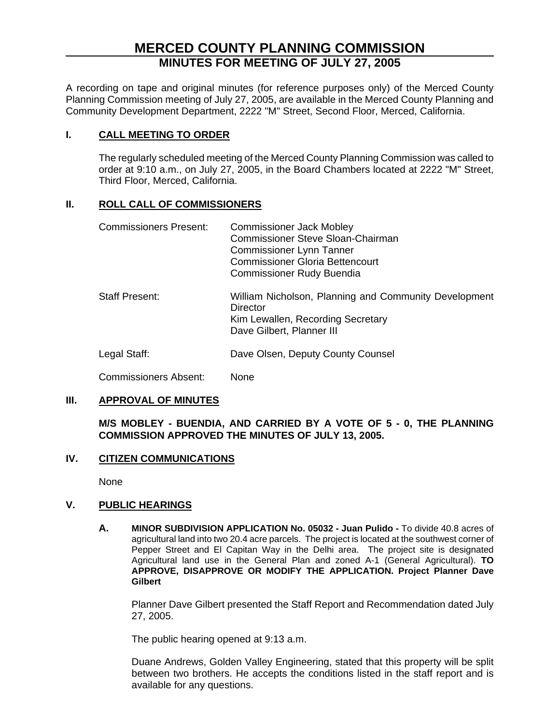# **MERCED COUNTY PLANNING COMMISSION MINUTES FOR MEETING OF JULY 27, 2005**

A recording on tape and original minutes (for reference purposes only) of the Merced County Planning Commission meeting of July 27, 2005, are available in the Merced County Planning and Community Development Department, 2222 "M" Street, Second Floor, Merced, California.

## **I. CALL MEETING TO ORDER**

The regularly scheduled meeting of the Merced County Planning Commission was called to order at 9:10 a.m., on July 27, 2005, in the Board Chambers located at 2222 "M" Street, Third Floor, Merced, California.

## **II. ROLL CALL OF COMMISSIONERS**

| <b>Commissioners Present:</b> | <b>Commissioner Jack Mobley</b><br><b>Commissioner Steve Sloan-Chairman</b><br><b>Commissioner Lynn Tanner</b><br><b>Commissioner Gloria Bettencourt</b><br><b>Commissioner Rudy Buendia</b> |
|-------------------------------|----------------------------------------------------------------------------------------------------------------------------------------------------------------------------------------------|
| <b>Staff Present:</b>         | William Nicholson, Planning and Community Development<br>Director<br>Kim Lewallen, Recording Secretary<br>Dave Gilbert, Planner III                                                          |
| Legal Staff:                  | Dave Olsen, Deputy County Counsel                                                                                                                                                            |
| Commissioners Absent:         | None                                                                                                                                                                                         |

## **III. APPROVAL OF MINUTES**

**M/S MOBLEY - BUENDIA, AND CARRIED BY A VOTE OF 5 - 0, THE PLANNING COMMISSION APPROVED THE MINUTES OF JULY 13, 2005.**

#### **IV. CITIZEN COMMUNICATIONS**

None

## **V. PUBLIC HEARINGS**

**A. MINOR SUBDIVISION APPLICATION No. 05032 - Juan Pulido -** To divide 40.8 acres of agricultural land into two 20.4 acre parcels. The project is located at the southwest corner of Pepper Street and El Capitan Way in the Delhi area. The project site is designated Agricultural land use in the General Plan and zoned A-1 (General Agricultural). **TO APPROVE, DISAPPROVE OR MODIFY THE APPLICATION. Project Planner Dave Gilbert** 

Planner Dave Gilbert presented the Staff Report and Recommendation dated July 27, 2005.

The public hearing opened at 9:13 a.m.

Duane Andrews, Golden Valley Engineering, stated that this property will be split between two brothers. He accepts the conditions listed in the staff report and is available for any questions.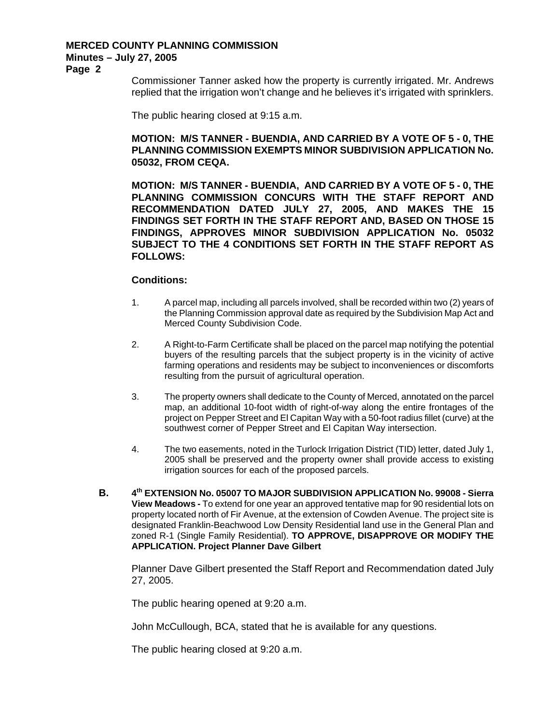#### **MERCED COUNTY PLANNING COMMISSION Minutes – July 27, 2005**

**Page 2** 

Commissioner Tanner asked how the property is currently irrigated. Mr. Andrews replied that the irrigation won't change and he believes it's irrigated with sprinklers.

The public hearing closed at 9:15 a.m.

## **MOTION: M/S TANNER - BUENDIA, AND CARRIED BY A VOTE OF 5 - 0, THE PLANNING COMMISSION EXEMPTS MINOR SUBDIVISION APPLICATION No. 05032, FROM CEQA.**

**MOTION: M/S TANNER - BUENDIA, AND CARRIED BY A VOTE OF 5 - 0, THE PLANNING COMMISSION CONCURS WITH THE STAFF REPORT AND RECOMMENDATION DATED JULY 27, 2005, AND MAKES THE 15 FINDINGS SET FORTH IN THE STAFF REPORT AND, BASED ON THOSE 15 FINDINGS, APPROVES MINOR SUBDIVISION APPLICATION No. 05032 SUBJECT TO THE 4 CONDITIONS SET FORTH IN THE STAFF REPORT AS FOLLOWS:** 

#### **Conditions:**

- 1. A parcel map, including all parcels involved, shall be recorded within two (2) years of the Planning Commission approval date as required by the Subdivision Map Act and Merced County Subdivision Code.
- 2. A Right-to-Farm Certificate shall be placed on the parcel map notifying the potential buyers of the resulting parcels that the subject property is in the vicinity of active farming operations and residents may be subject to inconveniences or discomforts resulting from the pursuit of agricultural operation.
- 3. The property owners shall dedicate to the County of Merced, annotated on the parcel map, an additional 10-foot width of right-of-way along the entire frontages of the project on Pepper Street and El Capitan Way with a 50-foot radius fillet (curve) at the southwest corner of Pepper Street and El Capitan Way intersection.
- 4. The two easements, noted in the Turlock Irrigation District (TID) letter, dated July 1, 2005 shall be preserved and the property owner shall provide access to existing irrigation sources for each of the proposed parcels.
- **B. 4th EXTENSION No. 05007 TO MAJOR SUBDIVISION APPLICATION No. 99008 Sierra View Meadows -** To extend for one year an approved tentative map for 90 residential lots on property located north of Fir Avenue, at the extension of Cowden Avenue. The project site is designated Franklin-Beachwood Low Density Residential land use in the General Plan and zoned R-1 (Single Family Residential). **TO APPROVE, DISAPPROVE OR MODIFY THE APPLICATION. Project Planner Dave Gilbert**

Planner Dave Gilbert presented the Staff Report and Recommendation dated July 27, 2005.

The public hearing opened at 9:20 a.m.

John McCullough, BCA, stated that he is available for any questions.

The public hearing closed at 9:20 a.m.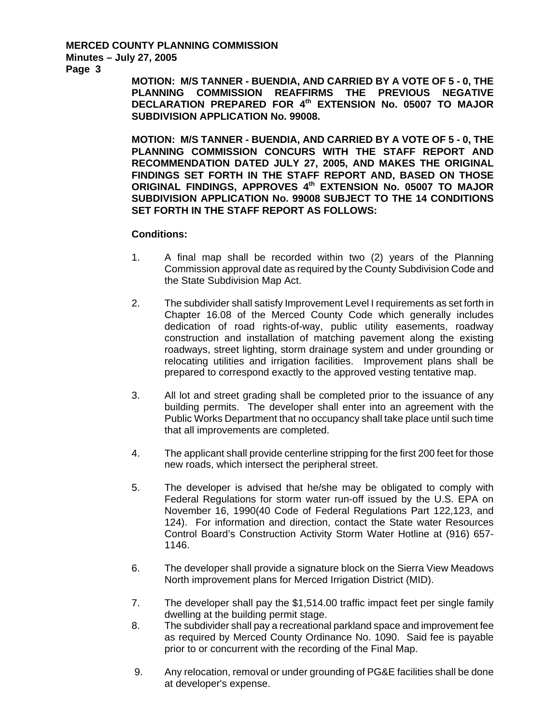# **MERCED COUNTY PLANNING COMMISSION Minutes – July 27, 2005**

**Page 3** 

**MOTION: M/S TANNER - BUENDIA, AND CARRIED BY A VOTE OF 5 - 0, THE PLANNING COMMISSION REAFFIRMS THE PREVIOUS NEGATIVE DECLARATION PREPARED FOR 4th EXTENSION No. 05007 TO MAJOR SUBDIVISION APPLICATION No. 99008.** 

**MOTION: M/S TANNER - BUENDIA, AND CARRIED BY A VOTE OF 5 - 0, THE PLANNING COMMISSION CONCURS WITH THE STAFF REPORT AND RECOMMENDATION DATED JULY 27, 2005, AND MAKES THE ORIGINAL FINDINGS SET FORTH IN THE STAFF REPORT AND, BASED ON THOSE ORIGINAL FINDINGS, APPROVES 4th EXTENSION No. 05007 TO MAJOR SUBDIVISION APPLICATION No. 99008 SUBJECT TO THE 14 CONDITIONS SET FORTH IN THE STAFF REPORT AS FOLLOWS:** 

#### **Conditions:**

- 1. A final map shall be recorded within two (2) years of the Planning Commission approval date as required by the County Subdivision Code and the State Subdivision Map Act.
- 2. The subdivider shall satisfy Improvement Level I requirements as set forth in Chapter 16.08 of the Merced County Code which generally includes dedication of road rights-of-way, public utility easements, roadway construction and installation of matching pavement along the existing roadways, street lighting, storm drainage system and under grounding or relocating utilities and irrigation facilities. Improvement plans shall be prepared to correspond exactly to the approved vesting tentative map.
- 3. All lot and street grading shall be completed prior to the issuance of any building permits. The developer shall enter into an agreement with the Public Works Department that no occupancy shall take place until such time that all improvements are completed.
- 4. The applicant shall provide centerline stripping for the first 200 feet for those new roads, which intersect the peripheral street.
- 5. The developer is advised that he/she may be obligated to comply with Federal Regulations for storm water run-off issued by the U.S. EPA on November 16, 1990(40 Code of Federal Regulations Part 122,123, and 124). For information and direction, contact the State water Resources Control Board's Construction Activity Storm Water Hotline at (916) 657- 1146.
- 6. The developer shall provide a signature block on the Sierra View Meadows North improvement plans for Merced Irrigation District (MID).
- 7. The developer shall pay the \$1,514.00 traffic impact feet per single family dwelling at the building permit stage.
- 8. The subdivider shall pay a recreational parkland space and improvement fee as required by Merced County Ordinance No. 1090. Said fee is payable prior to or concurrent with the recording of the Final Map.
- 9. Any relocation, removal or under grounding of PG&E facilities shall be done at developer's expense.